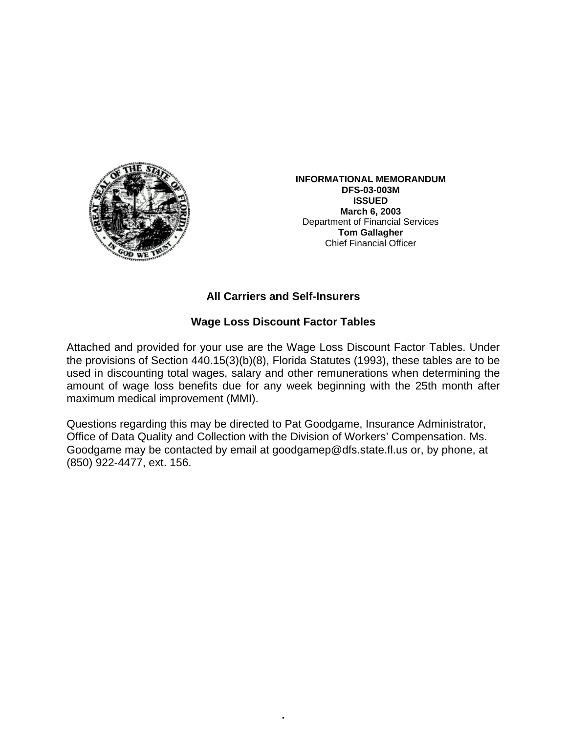

**INFORMATIONAL MEMORANDUM DFS-03-003M ISSUED March 6, 2003**  Department of Financial Services **Tom Gallagher** Chief Financial Officer

## **All Carriers and Self-Insurers**

### **Wage Loss Discount Factor Tables**

Attached and provided for your use are the Wage Loss Discount Factor Tables. Under the provisions of Section 440.15(3)(b)(8), Florida Statutes (1993), these tables are to be used in discounting total wages, salary and other remunerations when determining the amount of wage loss benefits due for any week beginning with the 25th month after maximum medical improvement (MMI).

Questions regarding this may be directed to Pat Goodgame, Insurance Administrator, Office of Data Quality and Collection with the Division of Workers' Compensation. Ms. Goodgame may be contacted by email at goodgamep@dfs.state.fl.us or, by phone, at (850) 922-4477, ext. 156.

•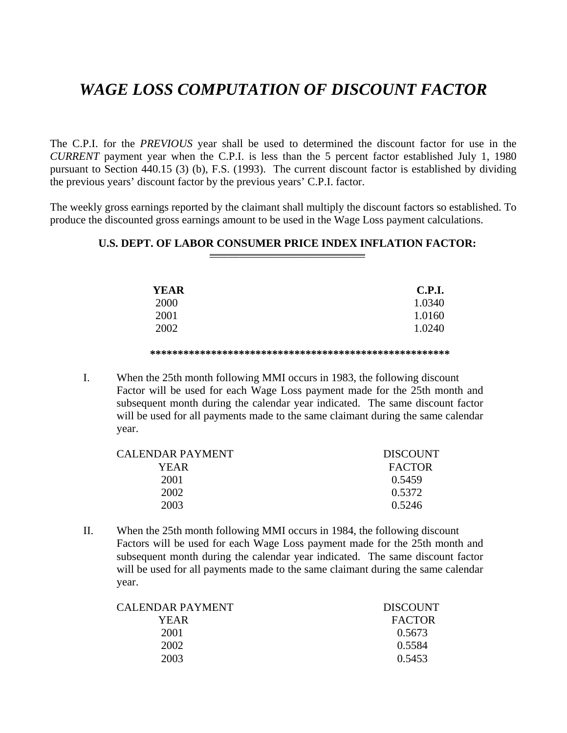# *WAGE LOSS COMPUTATION OF DISCOUNT FACTOR*

The C.P.I. for the *PREVIOUS* year shall be used to determined the discount factor for use in the *CURRENT* payment year when the C.P.I. is less than the 5 percent factor established July 1, 1980 pursuant to Section 440.15 (3) (b), F.S. (1993). The current discount factor is established by dividing the previous years' discount factor by the previous years' C.P.I. factor.

The weekly gross earnings reported by the claimant shall multiply the discount factors so established. To produce the discounted gross earnings amount to be used in the Wage Loss payment calculations.

### **U.S. DEPT. OF LABOR CONSUMER PRICE INDEX INFLATION FACTOR:**

| <b>YEAR</b> | <b>C.P.I.</b> |
|-------------|---------------|
| 2000        | 1.0340        |
| 2001        | 1.0160        |
| 2002        | 1.0240        |
|             |               |

#### **\*\*\*\*\*\*\*\*\*\*\*\*\*\*\*\*\*\*\*\*\*\*\*\*\*\*\*\*\*\*\*\*\*\*\*\*\*\*\*\*\*\*\*\*\*\*\*\*\*\*\*\*\*\***

I. When the 25th month following MMI occurs in 1983, the following discount Factor will be used for each Wage Loss payment made for the 25th month and subsequent month during the calendar year indicated. The same discount factor will be used for all payments made to the same claimant during the same calendar year.

| CALENDAR PAYMENT | <b>DISCOUNT</b> |
|------------------|-----------------|
| YEAR.            | <b>FACTOR</b>   |
| 2001             | 0.5459          |
| 2002             | 0.5372          |
| 2003             | 0.5246          |
|                  |                 |

II. When the 25th month following MMI occurs in 1984, the following discount Factors will be used for each Wage Loss payment made for the 25th month and subsequent month during the calendar year indicated. The same discount factor will be used for all payments made to the same claimant during the same calendar year.

| CALENDAR PAYMENT | <b>DISCOUNT</b> |
|------------------|-----------------|
| YEAR             | <b>FACTOR</b>   |
| 2001             | 0.5673          |
| 2002             | 0.5584          |
| 2003             | 0.5453          |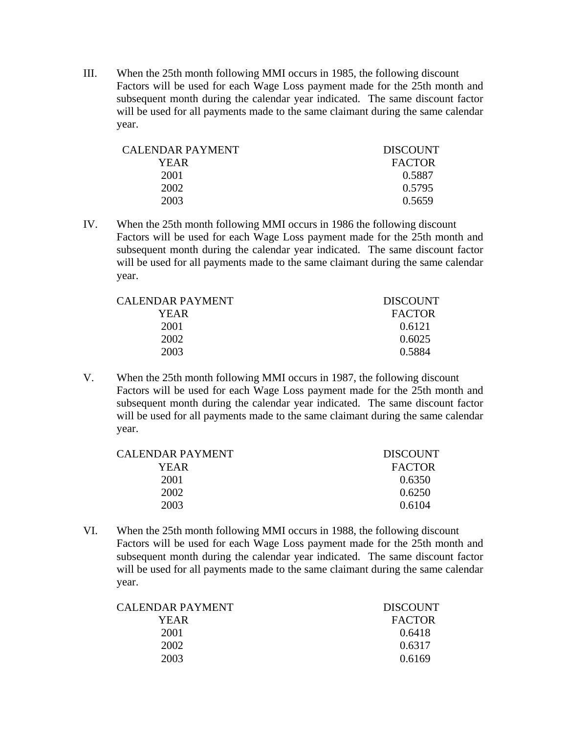III. When the 25th month following MMI occurs in 1985, the following discount Factors will be used for each Wage Loss payment made for the 25th month and subsequent month during the calendar year indicated. The same discount factor will be used for all payments made to the same claimant during the same calendar year.

| CALENDAR PAYMENT | <b>DISCOUNT</b> |
|------------------|-----------------|
| YEAR             | <b>FACTOR</b>   |
| 2001             | 0.5887          |
| 2002             | 0.5795          |
| 2003             | 0.5659          |

IV. When the 25th month following MMI occurs in 1986 the following discount Factors will be used for each Wage Loss payment made for the 25th month and subsequent month during the calendar year indicated. The same discount factor will be used for all payments made to the same claimant during the same calendar year.

| CALENDAR PAYMENT | <b>DISCOUNT</b> |
|------------------|-----------------|
| YEAR.            | <b>FACTOR</b>   |
| 2001             | 0.6121          |
| 2002             | 0.6025          |
| 2003             | 0.5884          |

V. When the 25th month following MMI occurs in 1987, the following discount Factors will be used for each Wage Loss payment made for the 25th month and subsequent month during the calendar year indicated. The same discount factor will be used for all payments made to the same claimant during the same calendar year.

| CALENDAR PAYMENT | <b>DISCOUNT</b> |
|------------------|-----------------|
| YEAR             | <b>FACTOR</b>   |
| 2001             | 0.6350          |
| 2002             | 0.6250          |
| 2003             | 0.6104          |

VI. When the 25th month following MMI occurs in 1988, the following discount Factors will be used for each Wage Loss payment made for the 25th month and subsequent month during the calendar year indicated. The same discount factor will be used for all payments made to the same claimant during the same calendar year.

| <b>DISCOUNT</b> |
|-----------------|
| <b>FACTOR</b>   |
| 0.6418          |
| 0.6317          |
| 0.6169          |
|                 |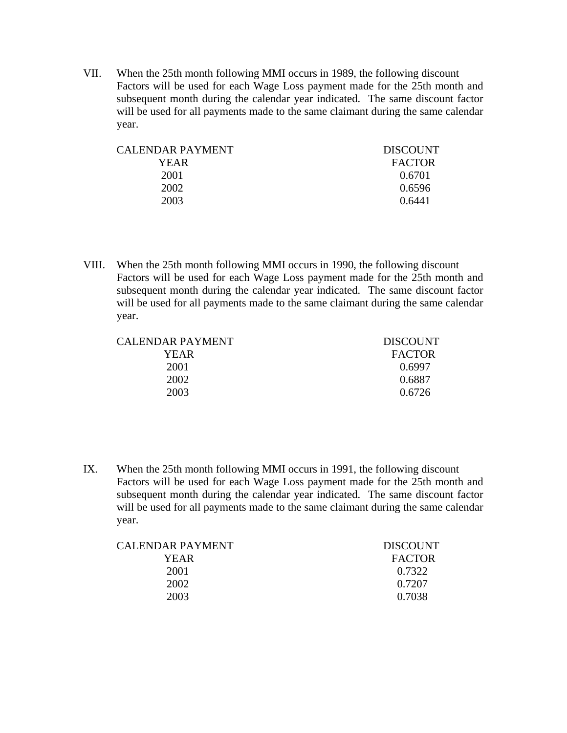VII. When the 25th month following MMI occurs in 1989, the following discount Factors will be used for each Wage Loss payment made for the 25th month and subsequent month during the calendar year indicated. The same discount factor will be used for all payments made to the same claimant during the same calendar year.

| CALENDAR PAYMENT | <b>DISCOUNT</b> |
|------------------|-----------------|
| YEAR             | <b>FACTOR</b>   |
| 2001             | 0.6701          |
| 2002             | 0.6596          |
| 2003             | 0.6441          |
|                  |                 |

VIII. When the 25th month following MMI occurs in 1990, the following discount Factors will be used for each Wage Loss payment made for the 25th month and subsequent month during the calendar year indicated. The same discount factor will be used for all payments made to the same claimant during the same calendar year.

CALENDAR PAYMENT DISCOUNT YEAR FACTOR 2001 0.6997 2002 0.6887 2003 0.6726

IX. When the 25th month following MMI occurs in 1991, the following discount Factors will be used for each Wage Loss payment made for the 25th month and subsequent month during the calendar year indicated. The same discount factor will be used for all payments made to the same claimant during the same calendar year.

| CALENDAR PAYMENT | <b>DISCOUNT</b> |
|------------------|-----------------|
| YEAR.            | <b>FACTOR</b>   |
| 2001             | 0.7322          |
| 2002             | 0.7207          |
| 2003             | 0.7038          |
|                  |                 |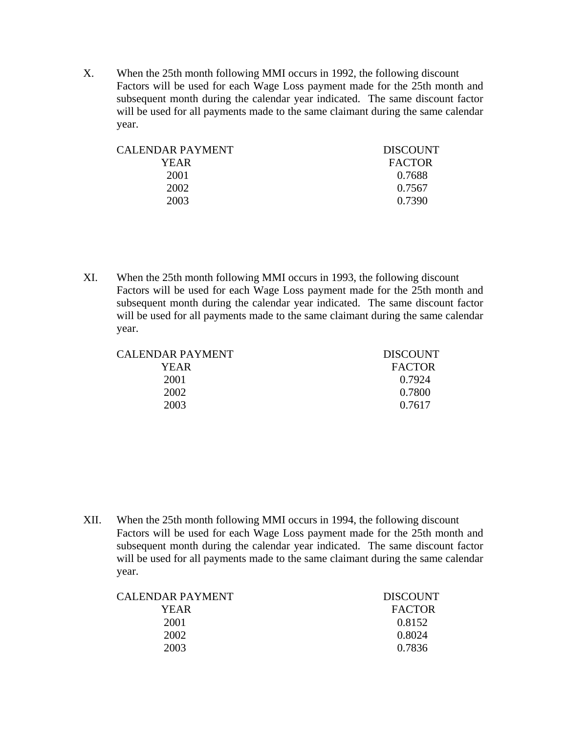X. When the 25th month following MMI occurs in 1992, the following discount Factors will be used for each Wage Loss payment made for the 25th month and subsequent month during the calendar year indicated. The same discount factor will be used for all payments made to the same claimant during the same calendar year.

| CALENDAR PAYMENT | <b>DISCOUNT</b> |
|------------------|-----------------|
| YEAR.            | <b>FACTOR</b>   |
| 2001             | 0.7688          |
| 2002             | 0.7567          |
| 2003             | 0.7390          |
|                  |                 |

XI. When the 25th month following MMI occurs in 1993, the following discount Factors will be used for each Wage Loss payment made for the 25th month and subsequent month during the calendar year indicated. The same discount factor will be used for all payments made to the same claimant during the same calendar year.

| CALENDAR PAYMENT | <b>DISCOUNT</b> |
|------------------|-----------------|
| YEAR             | <b>FACTOR</b>   |
| 2001             | 0.7924          |
| 2002             | 0.7800          |
| 2003             | 0.7617          |
|                  |                 |

XII. When the 25th month following MMI occurs in 1994, the following discount Factors will be used for each Wage Loss payment made for the 25th month and subsequent month during the calendar year indicated. The same discount factor will be used for all payments made to the same claimant during the same calendar year.

| CALENDAR PAYMENT | <b>DISCOUNT</b> |
|------------------|-----------------|
| YEAR             | <b>FACTOR</b>   |
| 2001             | 0.8152          |
| 2002             | 0.8024          |
| 2003             | 0.7836          |
|                  |                 |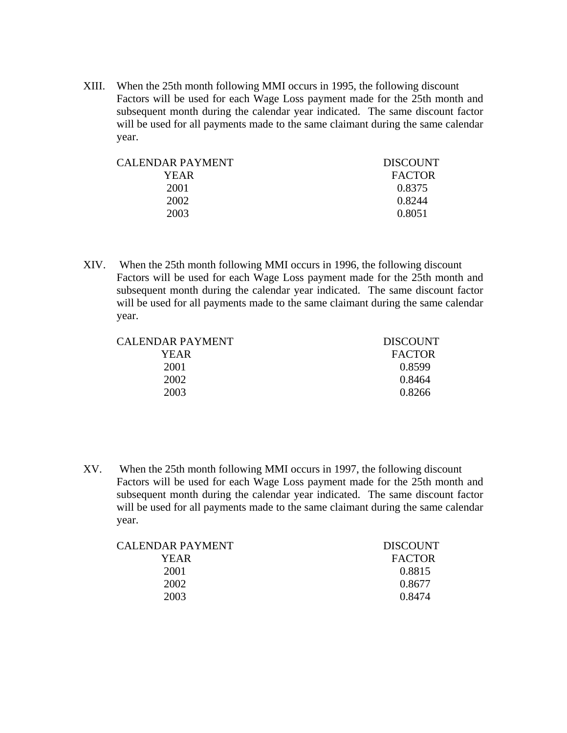XIII. When the 25th month following MMI occurs in 1995, the following discount Factors will be used for each Wage Loss payment made for the 25th month and subsequent month during the calendar year indicated. The same discount factor will be used for all payments made to the same claimant during the same calendar year.

| CALENDAR PAYMENT. | <b>DISCOUNT</b> |
|-------------------|-----------------|
| YEAR              | <b>FACTOR</b>   |
| 2001              | 0.8375          |
| 2002              | 0.8244          |
| 2003              | 0.8051          |
|                   |                 |

XIV. When the 25th month following MMI occurs in 1996, the following discount Factors will be used for each Wage Loss payment made for the 25th month and subsequent month during the calendar year indicated. The same discount factor will be used for all payments made to the same claimant during the same calendar year.

CALENDAR PAYMENT DISCOUNT YEAR FACTOR 2001 0.8599 2002 0.8464 2003 0.8266

XV. When the 25th month following MMI occurs in 1997, the following discount Factors will be used for each Wage Loss payment made for the 25th month and subsequent month during the calendar year indicated. The same discount factor will be used for all payments made to the same claimant during the same calendar year.

| <b>DISCOUNT</b> |
|-----------------|
| <b>FACTOR</b>   |
| 0.8815          |
| 0.8677          |
| 0.8474          |
|                 |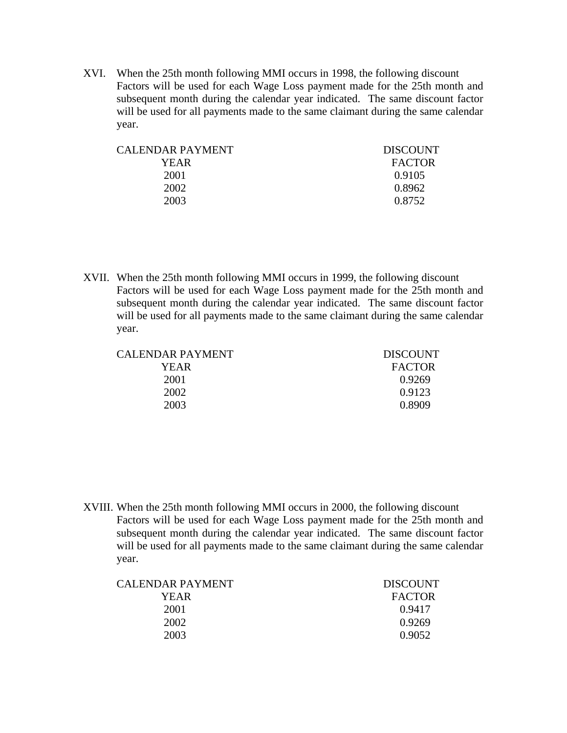XVI. When the 25th month following MMI occurs in 1998, the following discount Factors will be used for each Wage Loss payment made for the 25th month and subsequent month during the calendar year indicated. The same discount factor will be used for all payments made to the same claimant during the same calendar year.

| CALENDAR PAYMENT | <b>DISCOUNT</b> |
|------------------|-----------------|
| YEAR.            | <b>FACTOR</b>   |
| 2001             | 0.9105          |
| 2002             | 0.8962          |
| 2003             | 0.8752          |
|                  |                 |

XVII. When the 25th month following MMI occurs in 1999, the following discount Factors will be used for each Wage Loss payment made for the 25th month and subsequent month during the calendar year indicated. The same discount factor will be used for all payments made to the same claimant during the same calendar year.

| CALENDAR PAYMENT | <b>DISCOUNT</b> |
|------------------|-----------------|
| YEAR.            | <b>FACTOR</b>   |
| 2001             | 0.9269          |
| 2002             | 0.9123          |
| 2003             | 0.8909          |
|                  |                 |

XVIII. When the 25th month following MMI occurs in 2000, the following discount Factors will be used for each Wage Loss payment made for the 25th month and subsequent month during the calendar year indicated. The same discount factor will be used for all payments made to the same claimant during the same calendar year.

| CALENDAR PAYMENT | <b>DISCOUNT</b> |
|------------------|-----------------|
| YEAR             | <b>FACTOR</b>   |
| 2001             | 0.9417          |
| 2002             | 0.9269          |
| 2003             | 0.9052          |
|                  |                 |